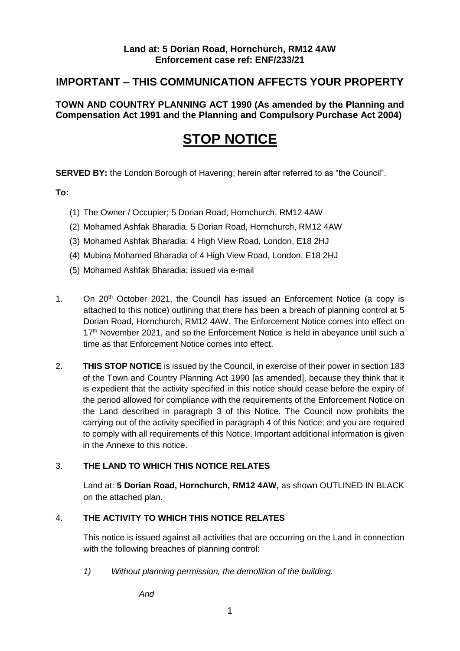### **IMPORTANT – THIS COMMUNICATION AFFECTS YOUR PROPERTY**

 **TOWN AND COUNTRY PLANNING ACT 1990 (As amended by the Planning and Compensation Act 1991 and the Planning and Compulsory Purchase Act 2004)** 

## **STOP NOTICE**

**SERVED BY:** the London Borough of Havering; herein after referred to as "the Council".

**To:** 

- (1) The Owner / Occupier; 5 Dorian Road, Hornchurch, RM12 4AW
- (2) Mohamed Ashfak Bharadia, 5 Dorian Road, Hornchurch, RM12 4AW
- (3) Mohamed Ashfak Bharadia; 4 High View Road, London, E18 2HJ
- (4) Mubina Mohamed Bharadia of 4 High View Road, London, E18 2HJ
- (5) Mohamed Ashfak Bharadia; issued via e-mail
- 1. On 20<sup>th</sup> October 2021, the Council has issued an Enforcement Notice (a copy is Dorian Road, Hornchurch, RM12 4AW. The Enforcement Notice comes into effect on 17<sup>th</sup> November 2021, and so the Enforcement Notice is held in abeyance until such a time as that Enforcement Notice comes into effect. attached to this notice) outlining that there has been a breach of planning control at 5
- 2. **THIS STOP NOTICE** is issued by the Council, in exercise of their power in section 183 of the Town and Country Planning Act 1990 [as amended], because they think that it is expedient that the activity specified in this notice should cease before the expiry of the period allowed for compliance with the requirements of the Enforcement Notice on the Land described in paragraph 3 of this Notice. The Council now prohibits the carrying out of the activity specified in paragraph 4 of this Notice; and you are required to comply with all requirements of this Notice. Important additional information is given in the Annexe to this notice.

#### 3. **THE LAND TO WHICH THIS NOTICE RELATES**

 Land at: **5 Dorian Road, Hornchurch, RM12 4AW,** as shown OUTLINED IN BLACK on the attached plan.

#### 4. **THE ACTIVITY TO WHICH THIS NOTICE RELATES**

 This notice is issued against all activities that are occurring on the Land in connection with the following breaches of planning control:

 *1) Without planning permission, the demolition of the building.*

*And*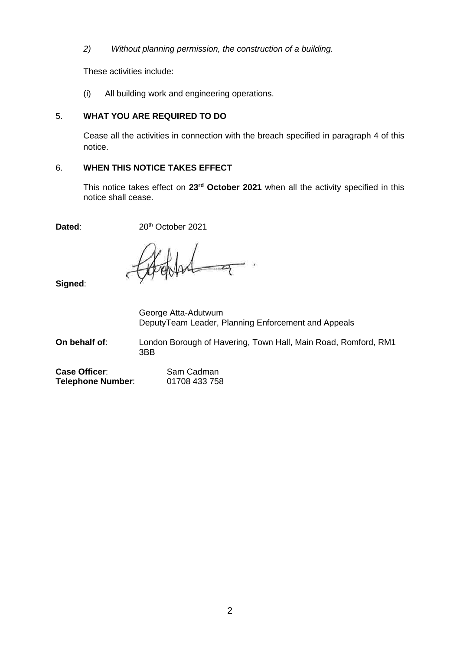*2) Without planning permission, the construction of a building.* 

These activities include:

(i) All building work and engineering operations.

#### 5. **WHAT YOU ARE REQUIRED TO DO**

 Cease all the activities in connection with the breach specified in paragraph 4 of this notice.

#### 6. **WHEN THIS NOTICE TAKES EFFECT**

 This notice takes effect on **23rd October 2021** when all the activity specified in this notice shall cease.

Dated: 20<sup>th</sup> October 2021

**Signed**:

 DeputyTeam Leader, Planning Enforcement and Appeals George Atta-Adutwum

 **On behalf of**: London Borough of Havering, Town Hall, Main Road, Romford, RM1 3BB

| <b>Case Officer:</b> | Sam Cadman    |
|----------------------|---------------|
| Telephone Number:    | 01708 433 758 |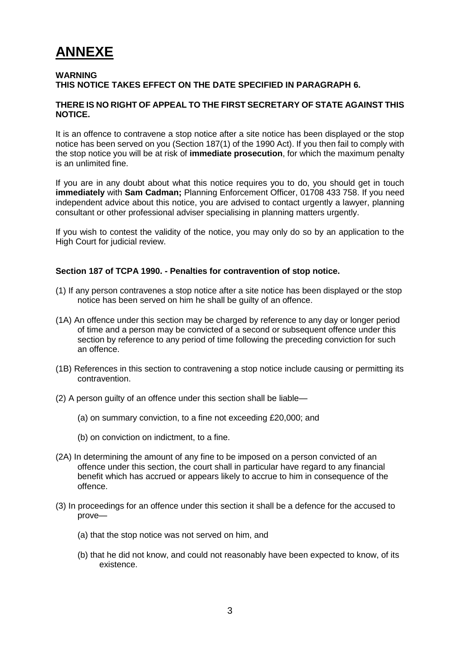# **ANNEXE**

#### **THIS NOTICE TAKES EFFECT ON THE DATE SPECIFIED IN PARAGRAPH 6. WARNING**

#### **THERE IS NO RIGHT OF APPEAL TO THE FIRST SECRETARY OF STATE AGAINST THIS NOTICE.**

 It is an offence to contravene a stop notice after a site notice has been displayed or the stop notice has been served on you (Section 187(1) of the 1990 Act). If you then fail to comply with the stop notice you will be at risk of **immediate prosecution**, for which the maximum penalty is an unlimited fine.

 If you are in any doubt about what this notice requires you to do, you should get in touch **immediately** with **Sam Cadman;** Planning Enforcement Officer, 01708 433 758. If you need independent advice about this notice, you are advised to contact urgently a lawyer, planning consultant or other professional adviser specialising in planning matters urgently.

 If you wish to contest the validity of the notice, you may only do so by an application to the High Court for judicial review.

#### **Section 187 of TCPA 1990. - Penalties for contravention of stop notice.**

- (1) If any person contravenes a stop notice after a site notice has been displayed or the stop notice has been served on him he shall be guilty of an offence.
- (1A) An offence under this section may be charged by reference to any day or longer period of time and a person may be convicted of a second or subsequent offence under this section by reference to any period of time following the preceding conviction for such an offence.
- (1B) References in this section to contravening a stop notice include causing or permitting its contravention.
- (2) A person guilty of an offence under this section shall be liable—
	- (a) on summary conviction, to a fine not exceeding £20,000; and
	- (b) on conviction on indictment, to a fine.
- (2A) In determining the amount of any fine to be imposed on a person convicted of an offence under this section, the court shall in particular have regard to any financial benefit which has accrued or appears likely to accrue to him in consequence of the offence.
- (3) In proceedings for an offence under this section it shall be a defence for the accused to prove—
	- (a) that the stop notice was not served on him, and
	- (b) that he did not know, and could not reasonably have been expected to know, of its existence.